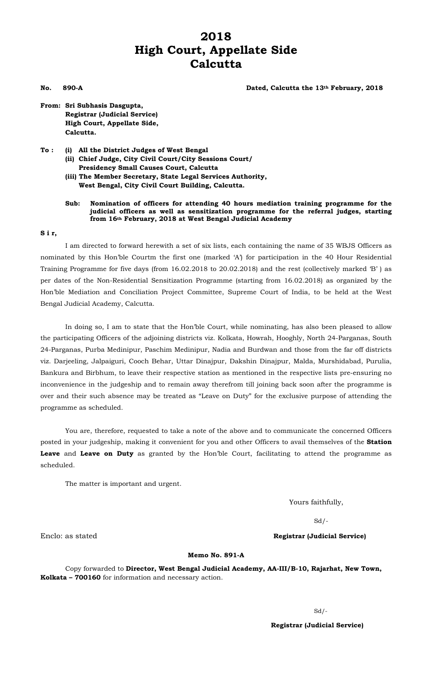# **2018 High Court, Appellate Side Calcutta**

#### **No. 890-A Dated, Calcutta the 13th February, 2018**

**From: Sri Subhasis Dasgupta, Registrar (Judicial Service) High Court, Appellate Side, Calcutta.** 

**To : (i) All the District Judges of West Bengal (ii) Chief Judge, City Civil Court/City Sessions Court/ Presidency Small Causes Court, Calcutta (iii) The Member Secretary, State Legal Services Authority,** 

 **West Bengal, City Civil Court Building, Calcutta.** 

#### **Sub: Nomination of officers for attending 40 hours mediation training programme for the judicial officers as well as sensitization programme for the referral judges, starting from 16th February, 2018 at West Bengal Judicial Academy**

#### **S i r,**

I am directed to forward herewith a set of six lists, each containing the name of 35 WBJS Officers as nominated by this Hon'ble Courtm the first one (marked 'A') for participation in the 40 Hour Residential Training Programme for five days (from 16.02.2018 to 20.02.2018) and the rest (collectively marked 'B' ) as per dates of the Non-Residential Sensitization Programme (starting from 16.02.2018) as organized by the Hon'ble Mediation and Conciliation Project Committee, Supreme Court of India, to be held at the West Bengal Judicial Academy, Calcutta.

In doing so, I am to state that the Hon'ble Court, while nominating, has also been pleased to allow the participating Officers of the adjoining districts viz. Kolkata, Howrah, Hooghly, North 24-Parganas, South 24-Parganas, Purba Medinipur, Paschim Medinipur, Nadia and Burdwan and those from the far off districts viz. Darjeeling, Jalpaiguri, Cooch Behar, Uttar Dinajpur, Dakshin Dinajpur, Malda, Murshidabad, Purulia, Bankura and Birbhum, to leave their respective station as mentioned in the respective lists pre-ensuring no inconvenience in the judgeship and to remain away therefrom till joining back soon after the programme is over and their such absence may be treated as "Leave on Duty" for the exclusive purpose of attending the programme as scheduled.

You are, therefore, requested to take a note of the above and to communicate the concerned Officers posted in your judgeship, making it convenient for you and other Officers to avail themselves of the **Station Leave** and **Leave on Duty** as granted by the Hon'ble Court, facilitating to attend the programme as scheduled.

The matter is important and urgent.

Yours faithfully,

 $Sd/-$ 

Enclo: as stated **Registrar (Judicial Service)**

### **Memo No. 891-A**

Copy forwarded to **Director, West Bengal Judicial Academy, AA-III/B-10, Rajarhat, New Town, Kolkata – 700160** for information and necessary action.

Sd/-

 **Registrar (Judicial Service)**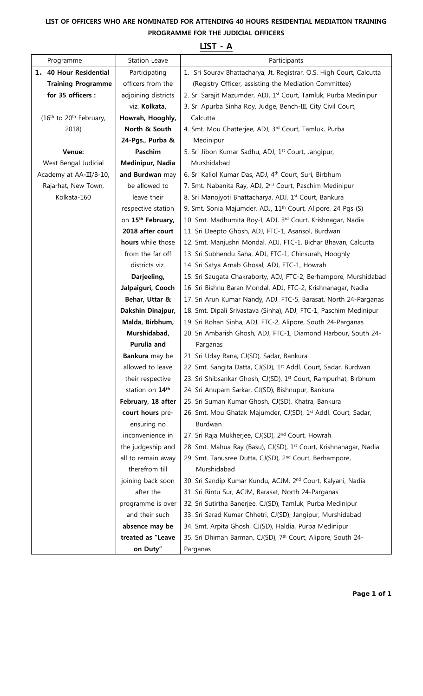## **LIST OF OFFICERS WHO ARE NOMINATED FOR ATTENDING 40 HOURS RESIDENTIAL MEDIATION TRAINING PROGRAMME FOR THE JUDICIAL OFFICERS**

|                                                 |                       | LIJI - A                                                                    |
|-------------------------------------------------|-----------------------|-----------------------------------------------------------------------------|
| Programme                                       | Station Leave         | Participants                                                                |
| 1. 40 Hour Residential                          | Participating         | 1. Sri Sourav Bhattacharya, Jt. Registrar, O.S. High Court, Calcutta        |
| <b>Training Programme</b>                       | officers from the     | (Registry Officer, assisting the Mediation Committee)                       |
| for 35 officers :                               | adjoining districts   | 2. Sri Sarajit Mazumder, ADJ, 1st Court, Tamluk, Purba Medinipur            |
|                                                 | viz. Kolkata,         | 3. Sri Apurba Sinha Roy, Judge, Bench-III, City Civil Court,                |
| (16 <sup>th</sup> to 20 <sup>th</sup> February, | Howrah, Hooghly,      | Calcutta                                                                    |
| 2018)                                           | North & South         | 4. Smt. Mou Chatterjee, ADJ, 3rd Court, Tamluk, Purba                       |
|                                                 | 24-Pgs., Purba &      | Medinipur                                                                   |
| Venue:                                          | Paschim               | 5. Sri Jibon Kumar Sadhu, ADJ, 1 <sup>st</sup> Court, Jangipur,             |
| West Bengal Judicial                            | Medinipur, Nadia      | Murshidabad                                                                 |
| Academy at AA-III/B-10,                         | and Burdwan may       | 6. Sri Kallol Kumar Das, ADJ, 4 <sup>th</sup> Court, Suri, Birbhum          |
| Rajarhat, New Town,                             | be allowed to         | 7. Smt. Nabanita Ray, ADJ, 2 <sup>nd</sup> Court, Paschim Medinipur         |
| Kolkata-160                                     | leave their           | 8. Sri Manojyoti Bhattacharya, ADJ, 1 <sup>st</sup> Court, Bankura          |
|                                                 | respective station    | 9. Smt. Sonia Majumder, ADJ, 11 <sup>th</sup> Court, Alipore, 24 Pqs (S)    |
|                                                 | on 15th February,     | 10. Smt. Madhumita Roy-I, ADJ, 3rd Court, Krishnagar, Nadia                 |
|                                                 | 2018 after court      | 11. Sri Deepto Ghosh, ADJ, FTC-1, Asansol, Burdwan                          |
|                                                 | hours while those     | 12. Smt. Manjushri Mondal, ADJ, FTC-1, Bichar Bhavan, Calcutta              |
|                                                 | from the far off      | 13. Sri Subhendu Saha, ADJ, FTC-1, Chinsurah, Hooghly                       |
|                                                 | districts viz.        | 14. Sri Satya Arnab Ghosal, ADJ, FTC-1, Howrah                              |
|                                                 | Darjeeling,           | 15. Sri Saugata Chakraborty, ADJ, FTC-2, Berhampore, Murshidabad            |
|                                                 | Jalpaiguri, Cooch     | 16. Sri Bishnu Baran Mondal, ADJ, FTC-2, Krishnanagar, Nadia                |
|                                                 | Behar, Uttar &        | 17. Sri Arun Kumar Nandy, ADJ, FTC-5, Barasat, North 24-Parganas            |
|                                                 | Dakshin Dinajpur,     | 18. Smt. Dipali Srivastava (Sinha), ADJ, FTC-1, Paschim Medinipur           |
|                                                 | Malda, Birbhum,       | 19. Sri Rohan Sinha, ADJ, FTC-2, Alipore, South 24-Parganas                 |
|                                                 | Murshidabad,          | 20. Sri Ambarish Ghosh, ADJ, FTC-1, Diamond Harbour, South 24-              |
|                                                 | Purulia and           | Parganas                                                                    |
|                                                 | <b>Bankura</b> may be | 21. Sri Uday Rana, CJ(SD), Sadar, Bankura                                   |
|                                                 | allowed to leave      | 22. Smt. Sangita Datta, CJ(SD), 1 <sup>st</sup> Addl. Court, Sadar, Burdwan |
|                                                 | their respective      | 23. Sri Shibsankar Ghosh, CJ(SD), 1st Court, Rampurhat, Birbhum             |
|                                                 | station on 14th       | 24. Sri Anupam Sarkar, CJ(SD), Bishnupur, Bankura                           |
|                                                 | February, 18 after    | 25. Sri Suman Kumar Ghosh, CJ(SD), Khatra, Bankura                          |
|                                                 | court hours pre-      | 26. Smt. Mou Ghatak Majumder, CJ(SD), 1st Addl. Court, Sadar,               |
|                                                 | ensuring no           | Burdwan                                                                     |
|                                                 | inconvenience in      | 27. Sri Raja Mukherjee, CJ(SD), 2 <sup>nd</sup> Court, Howrah               |
|                                                 | the judgeship and     | 28. Smt. Mahua Ray (Basu), CJ(SD), 1st Court, Krishnanagar, Nadia           |
|                                                 | all to remain away    | 29. Smt. Tanusree Dutta, CJ(SD), 2 <sup>nd</sup> Court, Berhampore,         |
|                                                 | therefrom till        | Murshidabad                                                                 |
|                                                 | joining back soon     | 30. Sri Sandip Kumar Kundu, ACJM, 2 <sup>nd</sup> Court, Kalyani, Nadia     |
|                                                 | after the             | 31. Sri Rintu Sur, ACJM, Barasat, North 24-Parganas                         |
|                                                 | programme is over     | 32. Sri Sutirtha Banerjee, CJ(SD), Tamluk, Purba Medinipur                  |
|                                                 | and their such        | 33. Sri Sarad Kumar Chhetri, CJ(SD), Jangipur, Murshidabad                  |
|                                                 | absence may be        | 34. Smt. Arpita Ghosh, CJ(SD), Haldia, Purba Medinipur                      |
|                                                 | treated as "Leave     | 35. Sri Dhiman Barman, CJ(SD), 7th Court, Alipore, South 24-                |
|                                                 | on Duty"              | Parganas                                                                    |

## **LIST - A**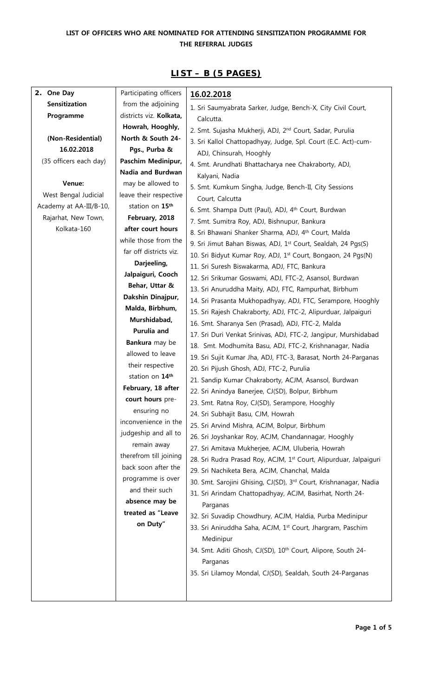## **LIST OF OFFICERS WHO ARE NOMINATED FOR ATTENDING SENSITIZATION PROGRAMME FOR THE REFERRAL JUDGES**

| 2. One Day              | Participating officers  | 16.02.2018                                                               |
|-------------------------|-------------------------|--------------------------------------------------------------------------|
| Sensitization           | from the adjoining      | 1. Sri Saumyabrata Sarker, Judge, Bench-X, City Civil Court,             |
| Programme               | districts viz. Kolkata, | Calcutta.                                                                |
|                         | Howrah, Hooghly,        | 2. Smt. Sujasha Mukherji, ADJ, 2 <sup>nd</sup> Court, Sadar, Purulia     |
| (Non-Residential)       | North & South 24-       | 3. Sri Kallol Chattopadhyay, Judge, Spl. Court (E.C. Act)-cum-           |
| 16.02.2018              | Pgs., Purba &           | ADJ, Chinsurah, Hooghly                                                  |
| (35 officers each day)  | Paschim Medinipur,      | 4. Smt. Arundhati Bhattacharya nee Chakraborty, ADJ,                     |
|                         | Nadia and Burdwan       | Kalyani, Nadia                                                           |
| Venue:                  | may be allowed to       | 5. Smt. Kumkum Singha, Judge, Bench-II, City Sessions                    |
| West Bengal Judicial    | leave their respective  | Court, Calcutta                                                          |
| Academy at AA-III/B-10, | station on 15th         | 6. Smt. Shampa Dutt (Paul), ADJ, 4th Court, Burdwan                      |
| Rajarhat, New Town,     | February, 2018          | 7. Smt. Sumitra Roy, ADJ, Bishnupur, Bankura                             |
| Kolkata-160             | after court hours       | 8. Sri Bhawani Shanker Sharma, ADJ, 4th Court, Malda                     |
|                         | while those from the    | 9. Sri Jimut Bahan Biswas, ADJ, 1st Court, Sealdah, 24 Pgs(S)            |
|                         | far off districts viz.  | 10. Sri Bidyut Kumar Roy, ADJ, 1st Court, Bongaon, 24 Pgs(N)             |
|                         | Darjeeling,             | 11. Sri Suresh Biswakarma, ADJ, FTC, Bankura                             |
|                         | Jalpaiguri, Cooch       | 12. Sri Srikumar Goswami, ADJ, FTC-2, Asansol, Burdwan                   |
|                         | Behar, Uttar &          | 13. Sri Anuruddha Maity, ADJ, FTC, Rampurhat, Birbhum                    |
|                         | Dakshin Dinajpur,       | 14. Sri Prasanta Mukhopadhyay, ADJ, FTC, Serampore, Hooghly              |
|                         | Malda, Birbhum,         | 15. Sri Rajesh Chakraborty, ADJ, FTC-2, Alipurduar, Jalpaiguri           |
|                         | Murshidabad,            | 16. Smt. Sharanya Sen (Prasad), ADJ, FTC-2, Malda                        |
|                         | Purulia and             | 17. Sri Duri Venkat Srinivas, ADJ, FTC-2, Jangipur, Murshidabad          |
|                         | Bankura may be          | 18. Smt. Modhumita Basu, ADJ, FTC-2, Krishnanagar, Nadia                 |
|                         | allowed to leave        | 19. Sri Sujit Kumar Jha, ADJ, FTC-3, Barasat, North 24-Parganas          |
|                         | their respective        | 20. Sri Pijush Ghosh, ADJ, FTC-2, Purulia                                |
|                         | station on 14th         | 21. Sandip Kumar Chakraborty, ACJM, Asansol, Burdwan                     |
|                         | February, 18 after      | 22. Sri Anindya Banerjee, CJ(SD), Bolpur, Birbhum                        |
|                         | court hours pre-        | 23. Smt. Ratna Roy, CJ(SD), Serampore, Hooghly                           |
|                         | ensuring no             | 24. Sri Subhajit Basu, CJM, Howrah                                       |
|                         | inconvenience in the    | 25. Sri Arvind Mishra, ACJM, Bolpur, Birbhum                             |
|                         | judgeship and all to    | 26. Sri Joyshankar Roy, ACJM, Chandannagar, Hooghly                      |
|                         | remain away             | 27. Sri Amitava Mukherjee, ACJM, Uluberia, Howrah                        |
|                         | therefrom till joining  | 28. Sri Rudra Prasad Roy, ACJM, 1st Court, Alipurduar, Jalpaiguri        |
|                         | back soon after the     | 29. Sri Nachiketa Bera, ACJM, Chanchal, Malda                            |
|                         | programme is over       | 30. Smt. Sarojini Ghising, CJ(SD), 3rd Court, Krishnanagar, Nadia        |
|                         | and their such          | 31. Sri Arindam Chattopadhyay, ACJM, Basirhat, North 24-                 |
|                         | absence may be          | Parganas                                                                 |
|                         | treated as "Leave       | 32. Sri Suvadip Chowdhury, ACJM, Haldia, Purba Medinipur                 |
|                         | on Duty"                | 33. Sri Aniruddha Saha, ACJM, 1st Court, Jhargram, Paschim               |
|                         |                         | Medinipur                                                                |
|                         |                         | 34. Smt. Aditi Ghosh, CJ(SD), 10 <sup>th</sup> Court, Alipore, South 24- |
|                         |                         | Parganas                                                                 |
|                         |                         | 35. Sri Lilamoy Mondal, CJ(SD), Sealdah, South 24-Parganas               |
|                         |                         |                                                                          |
|                         |                         |                                                                          |

## **LIST – B (5 PAGES)**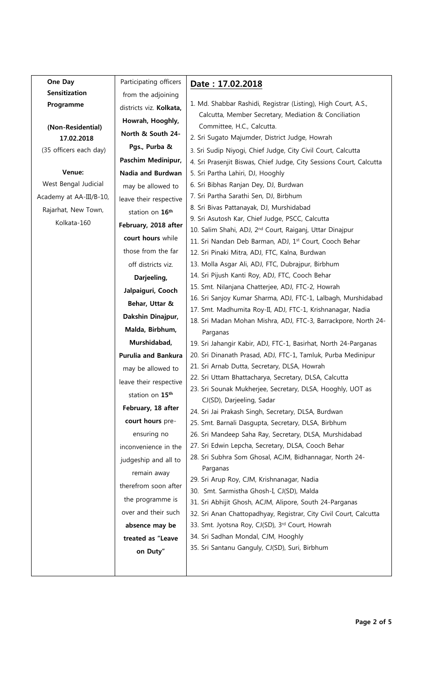| One Day                 | Participating officers     | Date: 17.02.2018                                                           |
|-------------------------|----------------------------|----------------------------------------------------------------------------|
| <b>Sensitization</b>    | from the adjoining         |                                                                            |
| Programme               | districts viz. Kolkata,    | 1. Md. Shabbar Rashidi, Registrar (Listing), High Court, A.S.,             |
|                         | Howrah, Hooghly,           | Calcutta, Member Secretary, Mediation & Conciliation                       |
| (Non-Residential)       | North & South 24-          | Committee, H.C., Calcutta.                                                 |
| 17.02.2018              | Pgs., Purba &              | 2. Sri Sugato Majumder, District Judge, Howrah                             |
| (35 officers each day)  | Paschim Medinipur,         | 3. Sri Sudip Niyogi, Chief Judge, City Civil Court, Calcutta               |
| Venue:                  | Nadia and Burdwan          | 4. Sri Prasenjit Biswas, Chief Judge, City Sessions Court, Calcutta        |
| West Bengal Judicial    |                            | 5. Sri Partha Lahiri, DJ, Hooghly<br>6. Sri Bibhas Ranjan Dey, DJ, Burdwan |
| Academy at AA-III/B-10, | may be allowed to          | 7. Sri Partha Sarathi Sen, DJ, Birbhum                                     |
|                         | leave their respective     | 8. Sri Bivas Pattanayak, DJ, Murshidabad                                   |
| Rajarhat, New Town,     | station on 16th            | 9. Sri Asutosh Kar, Chief Judge, PSCC, Calcutta                            |
| Kolkata-160             | February, 2018 after       | 10. Salim Shahi, ADJ, 2 <sup>nd</sup> Court, Raiganj, Uttar Dinajpur       |
|                         | court hours while          | 11. Sri Nandan Deb Barman, ADJ, 1st Court, Cooch Behar                     |
|                         | those from the far         | 12. Sri Pinaki Mitra, ADJ, FTC, Kalna, Burdwan                             |
|                         | off districts viz.         | 13. Molla Asgar Ali, ADJ, FTC, Dubrajpur, Birbhum                          |
|                         | Darjeeling,                | 14. Sri Pijush Kanti Roy, ADJ, FTC, Cooch Behar                            |
|                         | Jalpaiguri, Cooch          | 15. Smt. Nilanjana Chatterjee, ADJ, FTC-2, Howrah                          |
|                         | Behar, Uttar &             | 16. Sri Sanjoy Kumar Sharma, ADJ, FTC-1, Lalbagh, Murshidabad              |
|                         | Dakshin Dinajpur,          | 17. Smt. Madhumita Roy-II, ADJ, FTC-1, Krishnanagar, Nadia                 |
|                         | Malda, Birbhum,            | 18. Sri Madan Mohan Mishra, ADJ, FTC-3, Barrackpore, North 24-<br>Parganas |
|                         | Murshidabad,               | 19. Sri Jahangir Kabir, ADJ, FTC-1, Basirhat, North 24-Parganas            |
|                         | <b>Purulia and Bankura</b> | 20. Sri Dinanath Prasad, ADJ, FTC-1, Tamluk, Purba Medinipur               |
|                         | may be allowed to          | 21. Sri Arnab Dutta, Secretary, DLSA, Howrah                               |
|                         | leave their respective     | 22. Sri Uttam Bhattacharya, Secretary, DLSA, Calcutta                      |
|                         |                            | 23. Sri Sounak Mukherjee, Secretary, DLSA, Hooghly, UOT as                 |
|                         | station on 15th            | CJ(SD), Darjeeling, Sadar                                                  |
|                         | February, 18 after         | 24. Sri Jai Prakash Singh, Secretary, DLSA, Burdwan                        |
|                         | court hours pre-           | 25. Smt. Barnali Dasgupta, Secretary, DLSA, Birbhum                        |
|                         | ensuring no                | 26. Sri Mandeep Saha Ray, Secretary, DLSA, Murshidabad                     |
|                         | inconvenience in the       | 27. Sri Edwin Lepcha, Secretary, DLSA, Cooch Behar                         |
|                         | judgeship and all to       | 28. Sri Subhra Som Ghosal, ACJM, Bidhannagar, North 24-<br>Parganas        |
|                         | remain away                | 29. Sri Arup Roy, CJM, Krishnanagar, Nadia                                 |
|                         | therefrom soon after       | 30. Smt. Sarmistha Ghosh-I, CJ(SD), Malda                                  |
|                         | the programme is           | 31. Sri Abhijit Ghosh, ACJM, Alipore, South 24-Parganas                    |
|                         | over and their such        | 32. Sri Anan Chattopadhyay, Registrar, City Civil Court, Calcutta          |
|                         | absence may be             | 33. Smt. Jyotsna Roy, CJ(SD), 3rd Court, Howrah                            |
|                         | treated as "Leave          | 34. Sri Sadhan Mondal, CJM, Hooghly                                        |
|                         | on Duty"                   | 35. Sri Santanu Ganguly, CJ(SD), Suri, Birbhum                             |
|                         |                            |                                                                            |
|                         |                            |                                                                            |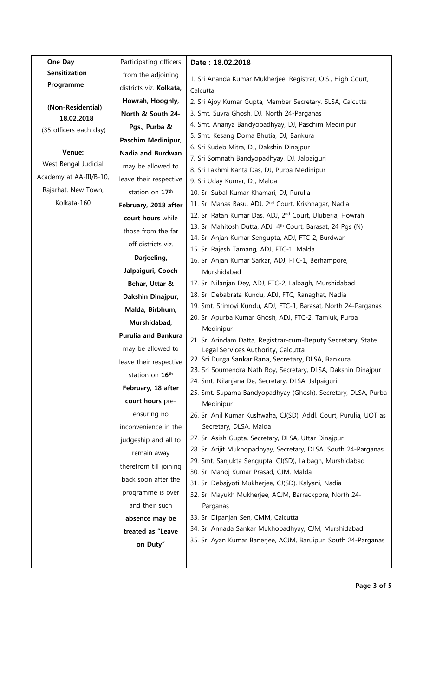| One Day                 | Participating officers      | Date: 18.02.2018                                                                                                                           |
|-------------------------|-----------------------------|--------------------------------------------------------------------------------------------------------------------------------------------|
| <b>Sensitization</b>    | from the adjoining          | 1. Sri Ananda Kumar Mukherjee, Registrar, O.S., High Court,                                                                                |
| Programme               | districts viz. Kolkata,     | Calcutta.                                                                                                                                  |
|                         | Howrah, Hooghly,            | 2. Sri Ajoy Kumar Gupta, Member Secretary, SLSA, Calcutta                                                                                  |
| (Non-Residential)       | North & South 24-           | 3. Smt. Suvra Ghosh, DJ, North 24-Parganas                                                                                                 |
| 18.02.2018              | Pgs., Purba &               | 4. Smt. Ananya Bandyopadhyay, DJ, Paschim Medinipur                                                                                        |
| (35 officers each day)  | Paschim Medinipur,          | 5. Smt. Kesang Doma Bhutia, DJ, Bankura                                                                                                    |
| Venue:                  | Nadia and Burdwan           | 6. Sri Sudeb Mitra, DJ, Dakshin Dinajpur                                                                                                   |
| West Bengal Judicial    | may be allowed to           | 7. Sri Somnath Bandyopadhyay, DJ, Jalpaiguri                                                                                               |
| Academy at AA-III/B-10, |                             | 8. Sri Lakhmi Kanta Das, DJ, Purba Medinipur                                                                                               |
| Rajarhat, New Town,     | leave their respective      | 9. Sri Uday Kumar, DJ, Malda                                                                                                               |
| Kolkata-160             | station on 17 <sup>th</sup> | 10. Sri Subal Kumar Khamari, DJ, Purulia                                                                                                   |
|                         | February, 2018 after        | 11. Sri Manas Basu, ADJ, 2 <sup>nd</sup> Court, Krishnagar, Nadia<br>12. Sri Ratan Kumar Das, ADJ, 2 <sup>nd</sup> Court, Uluberia, Howrah |
|                         | court hours while           | 13. Sri Mahitosh Dutta, ADJ, 4 <sup>th</sup> Court, Barasat, 24 Pgs (N)                                                                    |
|                         | those from the far          | 14. Sri Anjan Kumar Sengupta, ADJ, FTC-2, Burdwan                                                                                          |
|                         | off districts viz.          | 15. Sri Rajesh Tamang, ADJ, FTC-1, Malda                                                                                                   |
|                         | Darjeeling,                 | 16. Sri Anjan Kumar Sarkar, ADJ, FTC-1, Berhampore,                                                                                        |
|                         | Jalpaiguri, Cooch           | Murshidabad                                                                                                                                |
|                         | Behar, Uttar &              | 17. Sri Nilanjan Dey, ADJ, FTC-2, Lalbagh, Murshidabad                                                                                     |
|                         | Dakshin Dinajpur,           | 18. Sri Debabrata Kundu, ADJ, FTC, Ranaghat, Nadia                                                                                         |
|                         | Malda, Birbhum,             | 19. Smt. Srimoyi Kundu, ADJ, FTC-1, Barasat, North 24-Parganas                                                                             |
|                         | Murshidabad,                | 20. Sri Apurba Kumar Ghosh, ADJ, FTC-2, Tamluk, Purba                                                                                      |
|                         | <b>Purulia and Bankura</b>  | Medinipur                                                                                                                                  |
|                         | may be allowed to           | 21. Sri Arindam Datta, Registrar-cum-Deputy Secretary, State<br>Legal Services Authority, Calcutta                                         |
|                         | leave their respective      | 22. Sri Durga Sankar Rana, Secretary, DLSA, Bankura                                                                                        |
|                         | station on 16th             | 23. Sri Soumendra Nath Roy, Secretary, DLSA, Dakshin Dinajpur                                                                              |
|                         | February, 18 after          | 24. Smt. Nilanjana De, Secretary, DLSA, Jalpaiguri                                                                                         |
|                         | court hours pre-            | 25. Smt. Suparna Bandyopadhyay (Ghosh), Secretary, DLSA, Purba                                                                             |
|                         |                             | Medinipur                                                                                                                                  |
|                         | ensuring no                 | 26. Sri Anil Kumar Kushwaha, CJ(SD), Addl. Court, Purulia, UOT as                                                                          |
|                         | inconvenience in the        | Secretary, DLSA, Malda<br>27. Sri Asish Gupta, Secretary, DLSA, Uttar Dinajpur                                                             |
|                         | judgeship and all to        | 28. Sri Arijit Mukhopadhyay, Secretary, DLSA, South 24-Parganas                                                                            |
|                         | remain away                 | 29. Smt. Sanjukta Sengupta, CJ(SD), Lalbagh, Murshidabad                                                                                   |
|                         | therefrom till joining      | 30. Sri Manoj Kumar Prasad, CJM, Malda                                                                                                     |
|                         | back soon after the         | 31. Sri Debajyoti Mukherjee, CJ(SD), Kalyani, Nadia                                                                                        |
|                         | programme is over           | 32. Sri Mayukh Mukherjee, ACJM, Barrackpore, North 24-                                                                                     |
|                         | and their such              | Parganas                                                                                                                                   |
|                         | absence may be              | 33. Sri Dipanjan Sen, CMM, Calcutta                                                                                                        |
|                         | treated as "Leave           | 34. Sri Annada Sankar Mukhopadhyay, CJM, Murshidabad                                                                                       |
|                         | on Duty"                    | 35. Sri Ayan Kumar Banerjee, ACJM, Baruipur, South 24-Parganas                                                                             |
|                         |                             |                                                                                                                                            |
|                         |                             |                                                                                                                                            |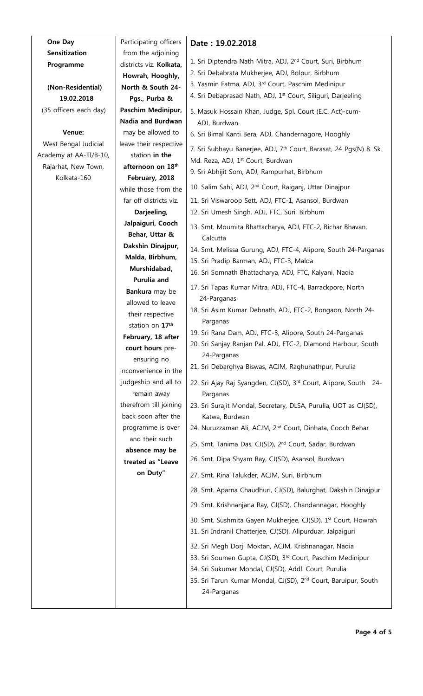| One Day                 | Participating officers             | Date: 19.02.2018                                                               |
|-------------------------|------------------------------------|--------------------------------------------------------------------------------|
| Sensitization           | from the adjoining                 |                                                                                |
| Programme               | districts viz. Kolkata,            | 1. Sri Diptendra Nath Mitra, ADJ, 2 <sup>nd</sup> Court, Suri, Birbhum         |
|                         | Howrah, Hooghly,                   | 2. Sri Debabrata Mukherjee, ADJ, Bolpur, Birbhum                               |
| (Non-Residential)       | North & South 24-                  | 3. Yasmin Fatma, ADJ, 3rd Court, Paschim Medinipur                             |
| 19.02.2018              | Pgs., Purba &                      | 4. Sri Debaprasad Nath, ADJ, 1 <sup>st</sup> Court, Siliguri, Darjeeling       |
| (35 officers each day)  | Paschim Medinipur,                 | 5. Masuk Hossain Khan, Judge, Spl. Court (E.C. Act)-cum-                       |
|                         | <b>Nadia and Burdwan</b>           | ADJ, Burdwan.                                                                  |
| Venue:                  | may be allowed to                  | 6. Sri Bimal Kanti Bera, ADJ, Chandernagore, Hooghly                           |
| West Bengal Judicial    | leave their respective             | 7. Sri Subhayu Banerjee, ADJ, 7 <sup>th</sup> Court, Barasat, 24 Pgs(N) 8. Sk. |
| Academy at AA-III/B-10, | station in the                     | Md. Reza, ADJ, 1st Court, Burdwan                                              |
| Rajarhat, New Town,     | afternoon on 18th                  | 9. Sri Abhijit Som, ADJ, Rampurhat, Birbhum                                    |
| Kolkata-160             | February, 2018                     |                                                                                |
|                         | while those from the               | 10. Salim Sahi, ADJ, 2 <sup>nd</sup> Court, Raiganj, Uttar Dinajpur            |
|                         | far off districts viz.             | 11. Sri Viswaroop Sett, ADJ, FTC-1, Asansol, Burdwan                           |
|                         | Darjeeling,                        | 12. Sri Umesh Singh, ADJ, FTC, Suri, Birbhum                                   |
|                         | Jalpaiguri, Cooch                  | 13. Smt. Moumita Bhattacharya, ADJ, FTC-2, Bichar Bhavan,                      |
|                         | Behar, Uttar &                     | Calcutta                                                                       |
|                         | Dakshin Dinajpur,                  | 14. Smt. Melissa Gurung, ADJ, FTC-4, Alipore, South 24-Parganas                |
|                         | Malda, Birbhum,                    | 15. Sri Pradip Barman, ADJ, FTC-3, Malda                                       |
|                         | Murshidabad,                       | 16. Sri Somnath Bhattacharya, ADJ, FTC, Kalyani, Nadia                         |
|                         | Purulia and                        | 17. Sri Tapas Kumar Mitra, ADJ, FTC-4, Barrackpore, North                      |
|                         | Bankura may be<br>allowed to leave | 24-Parganas                                                                    |
|                         | their respective                   | 18. Sri Asim Kumar Debnath, ADJ, FTC-2, Bongaon, North 24-                     |
|                         | station on 17th                    | Parganas                                                                       |
|                         | February, 18 after                 | 19. Sri Rana Dam, ADJ, FTC-3, Alipore, South 24-Parganas                       |
|                         | court hours pre-                   | 20. Sri Sanjay Ranjan Pal, ADJ, FTC-2, Diamond Harbour, South                  |
|                         | ensuring no                        | 24-Parganas                                                                    |
|                         | inconvenience in the               | 21. Sri Debarghya Biswas, ACJM, Raghunathpur, Purulia                          |
|                         | judgeship and all to               | 22. Sri Ajay Raj Syangden, CJ(SD), 3rd Court, Alipore, South 24-               |
|                         | remain away                        | Parganas                                                                       |
|                         | therefrom till joining             | 23. Sri Surajit Mondal, Secretary, DLSA, Purulia, UOT as CJ(SD),               |
|                         | back soon after the                | Katwa, Burdwan                                                                 |
|                         | programme is over                  | 24. Nuruzzaman Ali, ACJM, 2 <sup>nd</sup> Court, Dinhata, Cooch Behar          |
|                         | and their such                     | 25. Smt. Tanima Das, CJ(SD), 2 <sup>nd</sup> Court, Sadar, Burdwan             |
|                         | absence may be                     |                                                                                |
|                         | treated as "Leave                  | 26. Smt. Dipa Shyam Ray, CJ(SD), Asansol, Burdwan                              |
|                         | on Duty"                           | 27. Smt. Rina Talukder, ACJM, Suri, Birbhum                                    |
|                         |                                    | 28. Smt. Aparna Chaudhuri, CJ(SD), Balurghat, Dakshin Dinajpur                 |
|                         |                                    | 29. Smt. Krishnanjana Ray, CJ(SD), Chandannagar, Hooghly                       |
|                         |                                    | 30. Smt. Sushmita Gayen Mukherjee, CJ(SD), 1st Court, Howrah                   |
|                         |                                    | 31. Sri Indranil Chatterjee, CJ(SD), Alipurduar, Jalpaiguri                    |
|                         |                                    | 32. Sri Megh Dorji Moktan, ACJM, Krishnanagar, Nadia                           |
|                         |                                    | 33. Sri Soumen Gupta, CJ(SD), 3rd Court, Paschim Medinipur                     |
|                         |                                    | 34. Sri Sukumar Mondal, CJ(SD), Addl. Court, Purulia                           |
|                         |                                    | 35. Sri Tarun Kumar Mondal, CJ(SD), 2 <sup>nd</sup> Court, Baruipur, South     |
|                         |                                    | 24-Parganas                                                                    |
|                         |                                    |                                                                                |